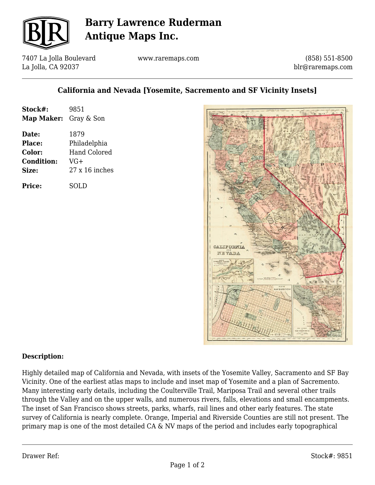

# **Barry Lawrence Ruderman Antique Maps Inc.**

7407 La Jolla Boulevard La Jolla, CA 92037

www.raremaps.com

(858) 551-8500 blr@raremaps.com

### **California and Nevada [Yosemite, Sacremento and SF Vicinity Insets]**

| Stock#:               | 9851                  |
|-----------------------|-----------------------|
| Map Maker: Gray & Son |                       |
| Date:                 | 1879                  |
| Place:                | Philadelphia          |
| Color:                | <b>Hand Colored</b>   |
| <b>Condition:</b>     | $VG+$                 |
| Size:                 | $27 \times 16$ inches |
| Price:                | SOLD                  |



#### **Description:**

Highly detailed map of California and Nevada, with insets of the Yosemite Valley, Sacramento and SF Bay Vicinity. One of the earliest atlas maps to include and inset map of Yosemite and a plan of Sacremento. Many interesting early details, including the Coulterville Trail, Mariposa Trail and several other trails through the Valley and on the upper walls, and numerous rivers, falls, elevations and small encampments. The inset of San Francisco shows streets, parks, wharfs, rail lines and other early features. The state survey of California is nearly complete. Orange, Imperial and Riverside Counties are still not present. The primary map is one of the most detailed CA & NV maps of the period and includes early topographical